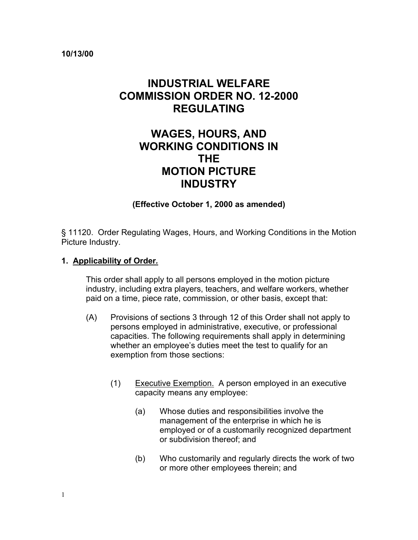# **INDUSTRIAL WELFARE COMMISSION ORDER NO. 12-2000 REGULATING**

# **WAGES, HOURS, AND WORKING CONDITIONS IN THE MOTION PICTURE INDUSTRY**

**(Effective October 1, 2000 as amended)** 

§ 11120. Order Regulating Wages, Hours, and Working Conditions in the Motion Picture Industry.

## **1. Applicability of Order***.*

This order shall apply to all persons employed in the motion picture industry, including extra players, teachers, and welfare workers, whether paid on a time, piece rate, commission, or other basis, except that:

- (A) Provisions of sections 3 through 12 of this Order shall not apply to persons employed in administrative, executive, or professional capacities. The following requirements shall apply in determining whether an employee's duties meet the test to qualify for an exemption from those sections:
	- (1) Executive Exemption. A person employed in an executive capacity means any employee:
		- (a) Whose duties and responsibilities involve the management of the enterprise in which he is employed or of a customarily recognized department or subdivision thereof; and
		- (b) Who customarily and regularly directs the work of two or more other employees therein; and

**10/13/00**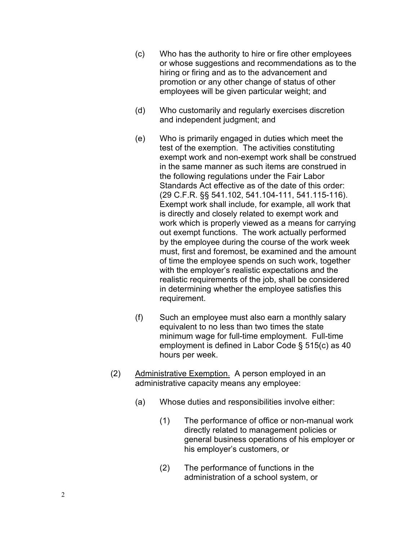- (c) Who has the authority to hire or fire other employees or whose suggestions and recommendations as to the hiring or firing and as to the advancement and promotion or any other change of status of other employees will be given particular weight; and
- (d) Who customarily and regularly exercises discretion and independent judgment; and
- (e) Who is primarily engaged in duties which meet the test of the exemption. The activities constituting exempt work and non-exempt work shall be construed in the same manner as such items are construed in the following regulations under the Fair Labor Standards Act effective as of the date of this order: (29 C.F.R. §§ 541.102, 541.104-111, 541.115-116). Exempt work shall include, for example, all work that is directly and closely related to exempt work and work which is properly viewed as a means for carrying out exempt functions. The work actually performed by the employee during the course of the work week must, first and foremost, be examined and the amount of time the employee spends on such work, together with the employer's realistic expectations and the realistic requirements of the job, shall be considered in determining whether the employee satisfies this requirement.
- (f) Such an employee must also earn a monthly salary equivalent to no less than two times the state minimum wage for full-time employment. Full-time employment is defined in Labor Code § 515(c) as 40 hours per week.
- (2) Administrative Exemption. A person employed in an administrative capacity means any employee:
	- (a) Whose duties and responsibilities involve either:
		- (1) The performance of office or non-manual work directly related to management policies or general business operations of his employer or his employer's customers, or
		- (2) The performance of functions in the administration of a school system, or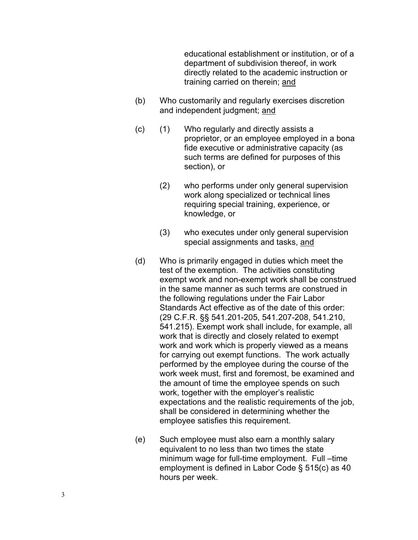educational establishment or institution, or of a department of subdivision thereof, in work directly related to the academic instruction or training carried on therein; and

- (b) Who customarily and regularly exercises discretion and independent judgment; and
- $(c)$  $(1)$  Who regularly and directly assists a proprietor, or an employee employed in a bona fide executive or administrative capacity (as such terms are defined for purposes of this section), or
	- (2) who performs under only general supervision work along specialized or technical lines requiring special training, experience, or knowledge, or
	- (3) who executes under only general supervision special assignments and tasks, and
- (d) Who is primarily engaged in duties which meet the test of the exemption. The activities constituting exempt work and non-exempt work shall be construed in the same manner as such terms are construed in the following regulations under the Fair Labor Standards Act effective as of the date of this order: (29 C.F.R. §§ 541.201-205, 541.207-208, 541.210, 541.215). Exempt work shall include, for example, all work that is directly and closely related to exempt work and work which is properly viewed as a means for carrying out exempt functions. The work actually performed by the employee during the course of the work week must, first and foremost, be examined and the amount of time the employee spends on such work, together with the employer's realistic expectations and the realistic requirements of the job, shall be considered in determining whether the employee satisfies this requirement.
- (e) Such employee must also earn a monthly salary equivalent to no less than two times the state minimum wage for full-time employment. Full –time employment is defined in Labor Code § 515(c) as 40 hours per week.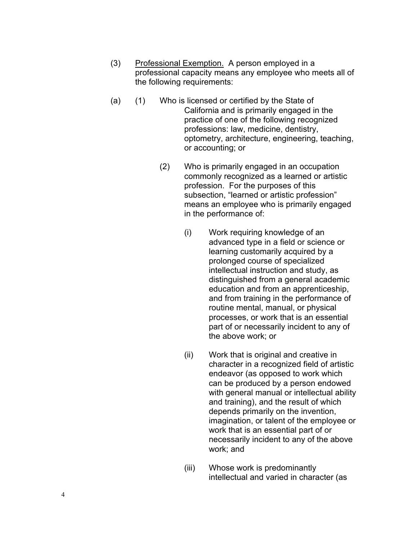- (3) Professional Exemption. A person employed in a professional capacity means any employee who meets all of the following requirements:
- $(a)$  $(1)$  Who is licensed or certified by the State of California and is primarily engaged in the practice of one of the following recognized professions: law, medicine, dentistry, optometry, architecture, engineering, teaching, or accounting; or
	- (2) Who is primarily engaged in an occupation commonly recognized as a learned or artistic profession. For the purposes of this subsection, "learned or artistic profession" means an employee who is primarily engaged in the performance of:
		- (i) Work requiring knowledge of an advanced type in a field or science or learning customarily acquired by a prolonged course of specialized intellectual instruction and study, as distinguished from a general academic education and from an apprenticeship, and from training in the performance of routine mental, manual, or physical processes, or work that is an essential part of or necessarily incident to any of the above work; or
		- (ii) Work that is original and creative in character in a recognized field of artistic endeavor (as opposed to work which can be produced by a person endowed with general manual or intellectual ability and training), and the result of which depends primarily on the invention, imagination, or talent of the employee or work that is an essential part of or necessarily incident to any of the above work; and
		- (iii) Whose work is predominantly intellectual and varied in character (as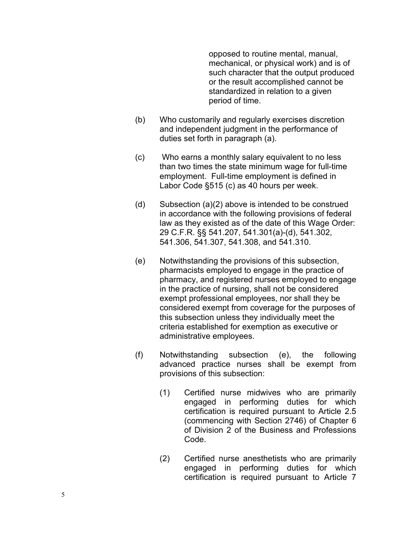opposed to routine mental, manual, mechanical, or physical work) and is of such character that the output produced or the result accomplished cannot be standardized in relation to a given period of time.

- (b) Who customarily and regularly exercises discretion and independent judgment in the performance of duties set forth in paragraph (a).
- (c) Who earns a monthly salary equivalent to no less than two times the state minimum wage for full-time employment. Full-time employment is defined in Labor Code §515 (c) as 40 hours per week.
- (d) Subsection (a)(2) above is intended to be construed in accordance with the following provisions of federal law as they existed as of the date of this Wage Order: 29 C.F.R. §§ 541.207, 541.301(a)-(d), 541.302, 541.306, 541.307, 541.308, and 541.310.
- (e) Notwithstanding the provisions of this subsection, pharmacists employed to engage in the practice of pharmacy, and registered nurses employed to engage in the practice of nursing, shall not be considered exempt professional employees, nor shall they be considered exempt from coverage for the purposes of this subsection unless they individually meet the criteria established for exemption as executive or administrative employees.
- (f) Notwithstanding subsection (e), the following advanced practice nurses shall be exempt from provisions of this subsection:
	- (1) Certified nurse midwives who are primarily engaged in performing duties for which certification is required pursuant to Article 2.5 (commencing with Section 2746) of Chapter 6 of Division 2 of the Business and Professions Code.
	- (2) Certified nurse anesthetists who are primarily engaged in performing duties for which certification is required pursuant to Article 7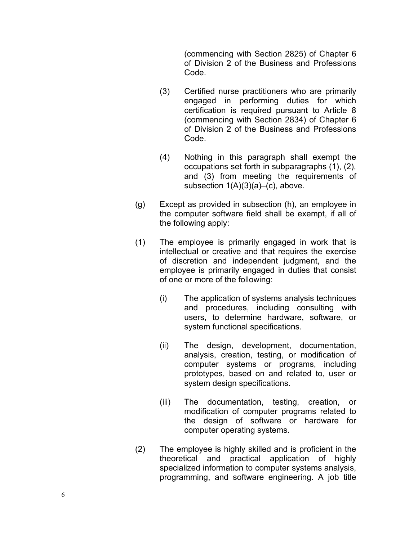(commencing with Section 2825) of Chapter 6 of Division 2 of the Business and Professions Code.

- (3) Certified nurse practitioners who are primarily engaged in performing duties for which certification is required pursuant to Article 8 (commencing with Section 2834) of Chapter 6 of Division 2 of the Business and Professions Code.
- (4) Nothing in this paragraph shall exempt the occupations set forth in subparagraphs (1), (2), and (3) from meeting the requirements of subsection  $1(A)(3)(a)$ –(c), above.
- (g) Except as provided in subsection (h), an employee in the computer software field shall be exempt, if all of the following apply:
- (1) The employee is primarily engaged in work that is intellectual or creative and that requires the exercise of discretion and independent judgment, and the employee is primarily engaged in duties that consist of one or more of the following:
	- (i) The application of systems analysis techniques and procedures, including consulting with users, to determine hardware, software, or system functional specifications.
	- (ii) The design, development, documentation, analysis, creation, testing, or modification of computer systems or programs, including prototypes, based on and related to, user or system design specifications.
	- (iii) The documentation, testing, creation, or modification of computer programs related to the design of software or hardware for computer operating systems.
- (2) The employee is highly skilled and is proficient in the theoretical and practical application of highly specialized information to computer systems analysis, programming, and software engineering. A job title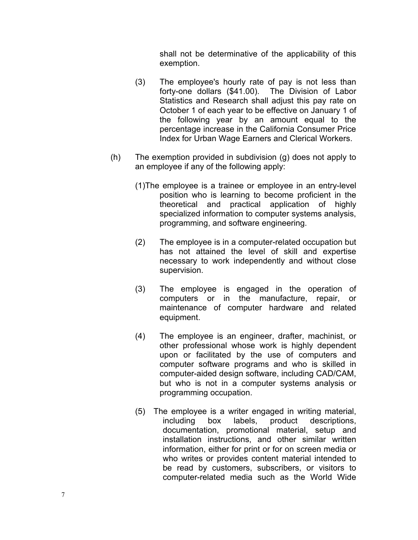shall not be determinative of the applicability of this exemption.

- (3) The employee's hourly rate of pay is not less than forty-one dollars (\$41.00). The Division of Labor Statistics and Research shall adjust this pay rate on October 1 of each year to be effective on January 1 of the following year by an amount equal to the percentage increase in the California Consumer Price Index for Urban Wage Earners and Clerical Workers.
- $(h)$  The exemption provided in subdivision  $(g)$  does not apply to an employee if any of the following apply:
	- (1)The employee is a trainee or employee in an entry-level position who is learning to become proficient in the theoretical and practical application of highly specialized information to computer systems analysis, programming, and software engineering.
	- (2) The employee is in a computer-related occupation but has not attained the level of skill and expertise necessary to work independently and without close supervision.
	- (3) The employee is engaged in the operation of computers or in the manufacture, repair, or maintenance of computer hardware and related equipment.
	- (4) The employee is an engineer, drafter, machinist, or other professional whose work is highly dependent upon or facilitated by the use of computers and computer software programs and who is skilled in computer-aided design software, including CAD/CAM, but who is not in a computer systems analysis or programming occupation.
	- (5) The employee is a writer engaged in writing material, including box labels, product descriptions, documentation, promotional material, setup and installation instructions, and other similar written information, either for print or for on screen media or who writes or provides content material intended to be read by customers, subscribers, or visitors to computer-related media such as the World Wide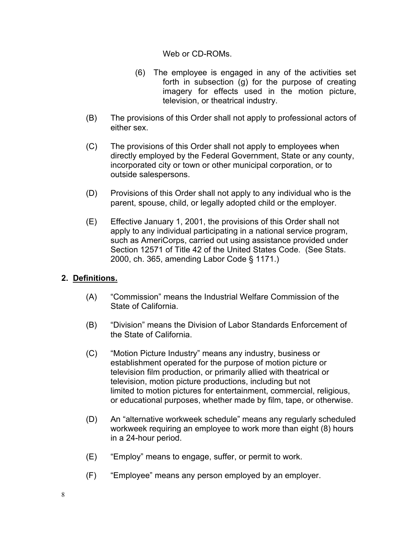Web or CD-ROMs.

- (6) The employee is engaged in any of the activities set forth in subsection (g) for the purpose of creating imagery for effects used in the motion picture, television, or theatrical industry.
- (B) The provisions of this Order shall not apply to professional actors of either sex.
- (C) The provisions of this Order shall not apply to employees when directly employed by the Federal Government, State or any county, incorporated city or town or other municipal corporation, or to outside salespersons.
- (D) Provisions of this Order shall not apply to any individual who is the parent, spouse, child, or legally adopted child or the employer.
- (E) Effective January 1, 2001, the provisions of this Order shall not apply to any individual participating in a national service program, such as AmeriCorps, carried out using assistance provided under Section 12571 of Title 42 of the United States Code. (See Stats. 2000, ch. 365, amending Labor Code § 1171.)

# **2. Definitions.**

- (A) "Commission" means the Industrial Welfare Commission of the State of California.
- (B) "Division" means the Division of Labor Standards Enforcement of the State of California.
- (C) "Motion Picture Industry" means any industry, business or establishment operated for the purpose of motion picture or television film production, or primarily allied with theatrical or television, motion picture productions, including but not limited to motion pictures for entertainment, commercial, religious, or educational purposes, whether made by film, tape, or otherwise.
- (D) An "alternative workweek schedule" means any regularly scheduled workweek requiring an employee to work more than eight (8) hours in a 24-hour period.
- $(E)$ "Employ" means to engage, suffer, or permit to work.
- $(F)$ "Employee" means any person employed by an employer.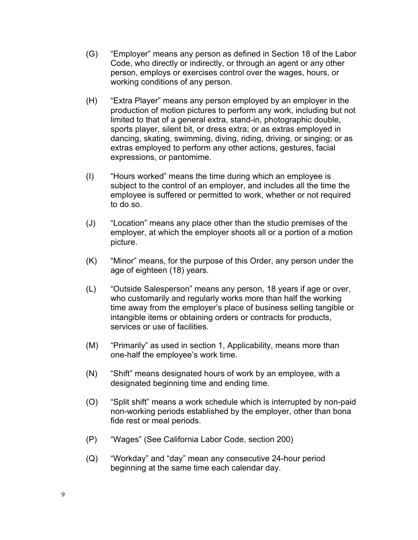- (G) "Employer" means any person as defined in Section 18 of the Labor Code, who directly or indirectly, or through an agent or any other person, employs or exercises control over the wages, hours, or working conditions of any person.
- (H) "Extra Player" means any person employed by an employer in the production of motion pictures to perform any work, including but not limited to that of a general extra, stand-in, photographic double, sports player, silent bit, or dress extra; or as extras employed in dancing, skating, swimming, diving, riding, driving, or singing; or as extras employed to perform any other actions, gestures, facial expressions, or pantomime.
- (I) "Hours worked" means the time during which an employee is subject to the control of an employer, and includes all the time the employee is suffered or permitted to work, whether or not required to do so.
- (J) "Location" means any place other than the studio premises of the employer, at which the employer shoots all or a portion of a motion picture.
- (K) "Minor" means, for the purpose of this Order, any person under the age of eighteen (18) years.
- (L) "Outside Salesperson" means any person, 18 years if age or over, who customarily and regularly works more than half the working time away from the employer's place of business selling tangible or intangible items or obtaining orders or contracts for products, services or use of facilities.
- (M) "Primarily" as used in section 1, Applicability, means more than one-half the employee's work time.
- (N) "Shift" means designated hours of work by an employee, with a designated beginning time and ending time.
- (O) "Split shift" means a work schedule which is interrupted by non-paid non-working periods established by the employer, other than bona fide rest or meal periods.
- (P) "Wages" (See California Labor Code, section 200)
- (Q) "Workday" and "day" mean any consecutive 24-hour period beginning at the same time each calendar day.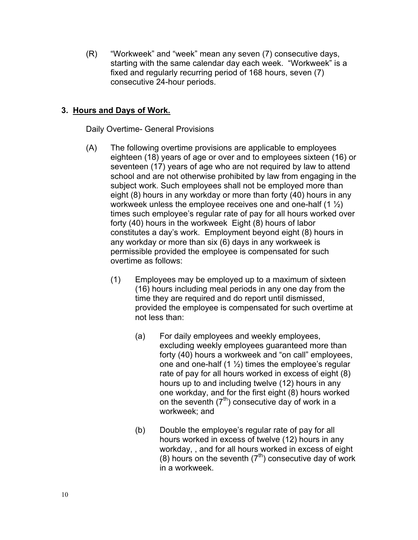(R) "Workweek" and "week" mean any seven (7) consecutive days, starting with the same calendar day each week. "Workweek" is a fixed and regularly recurring period of 168 hours, seven (7) consecutive 24-hour periods.

## **3. Hours and Days of Work.**

Daily Overtime- General Provisions

- times such employee's regular rate of pay for all hours worked over (A) The following overtime provisions are applicable to employees eighteen (18) years of age or over and to employees sixteen (16) or seventeen (17) years of age who are not required by law to attend school and are not otherwise prohibited by law from engaging in the subject work. Such employees shall not be employed more than eight (8) hours in any workday or more than forty (40) hours in any workweek unless the employee receives one and one-half  $(1 \frac{1}{2})$ forty (40) hours in the workweek Eight (8) hours of labor constitutes a day's work. Employment beyond eight (8) hours in any workday or more than six (6) days in any workweek is permissible provided the employee is compensated for such overtime as follows:
	- (1) Employees may be employed up to a maximum of sixteen (16) hours including meal periods in any one day from the time they are required and do report until dismissed, provided the employee is compensated for such overtime at not less than:
		- (a) For daily employees and weekly employees, excluding weekly employees guaranteed more than forty (40) hours a workweek and "on call" employees, one and one-half  $(1 \frac{1}{2})$  times the employee's regular rate of pay for all hours worked in excess of eight (8) hours up to and including twelve (12) hours in any one workday, and for the first eight (8) hours worked on the seventh  $(7<sup>th</sup>)$  consecutive day of work in a workweek; and
		- (b) Double the employee's regular rate of pay for all hours worked in excess of twelve (12) hours in any workday, , and for all hours worked in excess of eight (8) hours on the seventh  $(7<sup>th</sup>)$  consecutive day of work in a workweek.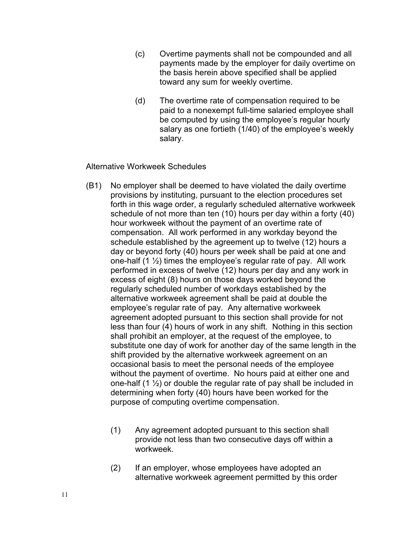- (c) Overtime payments shall not be compounded and all payments made by the employer for daily overtime on the basis herein above specified shall be applied toward any sum for weekly overtime.
- (d) The overtime rate of compensation required to be paid to a nonexempt full-time salaried employee shall be computed by using the employee's regular hourly salary as one fortieth (1/40) of the employee's weekly salary.

Alternative Workweek Schedules

- (B1) No employer shall be deemed to have violated the daily overtime provisions by instituting, pursuant to the election procedures set forth in this wage order, a regularly scheduled alternative workweek schedule of not more than ten (10) hours per day within a forty (40) hour workweek without the payment of an overtime rate of compensation. All work performed in any workday beyond the schedule established by the agreement up to twelve (12) hours a day or beyond forty (40) hours per week shall be paid at one and one-half  $(1 \frac{1}{2})$  times the employee's regular rate of pay. All work performed in excess of twelve (12) hours per day and any work in excess of eight (8) hours on those days worked beyond the regularly scheduled number of workdays established by the alternative workweek agreement shall be paid at double the employee's regular rate of pay. Any alternative workweek agreement adopted pursuant to this section shall provide for not less than four (4) hours of work in any shift. Nothing in this section shall prohibit an employer, at the request of the employee, to substitute one day of work for another day of the same length in the shift provided by the alternative workweek agreement on an occasional basis to meet the personal needs of the employee without the payment of overtime. No hours paid at either one and one-half  $(1 \frac{1}{2})$  or double the regular rate of pay shall be included in determining when forty (40) hours have been worked for the purpose of computing overtime compensation.
	- (1) Any agreement adopted pursuant to this section shall provide not less than two consecutive days off within a workweek.
	- (2) If an employer, whose employees have adopted an alternative workweek agreement permitted by this order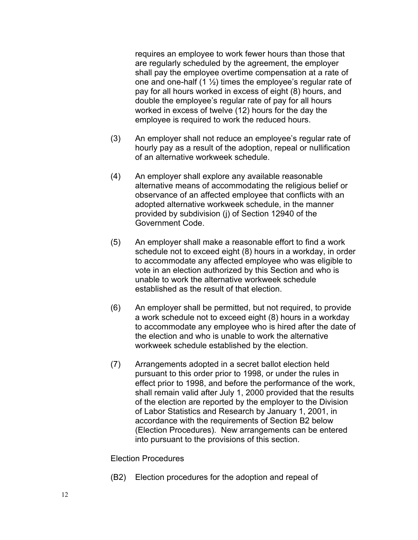requires an employee to work fewer hours than those that are regularly scheduled by the agreement, the employer shall pay the employee overtime compensation at a rate of one and one-half  $(1 \frac{1}{2})$  times the employee's regular rate of pay for all hours worked in excess of eight (8) hours, and double the employee's regular rate of pay for all hours worked in excess of twelve (12) hours for the day the employee is required to work the reduced hours.

- (3) An employer shall not reduce an employee's regular rate of hourly pay as a result of the adoption, repeal or nullification of an alternative workweek schedule.
- (4) An employer shall explore any available reasonable alternative means of accommodating the religious belief or observance of an affected employee that conflicts with an adopted alternative workweek schedule, in the manner provided by subdivision (j) of Section 12940 of the Government Code.
- $(5)$  An employer shall make a reasonable effort to find a work schedule not to exceed eight (8) hours in a workday, in order to accommodate any affected employee who was eligible to vote in an election authorized by this Section and who is unable to work the alternative workweek schedule established as the result of that election.
- (6) An employer shall be permitted, but not required, to provide a work schedule not to exceed eight (8) hours in a workday to accommodate any employee who is hired after the date of the election and who is unable to work the alternative workweek schedule established by the election.
- (7) Arrangements adopted in a secret ballot election held pursuant to this order prior to 1998, or under the rules in effect prior to 1998, and before the performance of the work, shall remain valid after July 1, 2000 provided that the results of the election are reported by the employer to the Division of Labor Statistics and Research by January 1, 2001, in accordance with the requirements of Section B2 below (Election Procedures). New arrangements can be entered into pursuant to the provisions of this section.

#### Election Procedures

(B2) Election procedures for the adoption and repeal of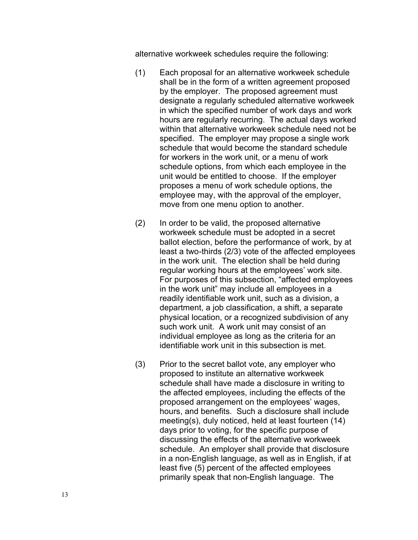alternative workweek schedules require the following:

- (1) Each proposal for an alternative workweek schedule shall be in the form of a written agreement proposed by the employer. The proposed agreement must designate a regularly scheduled alternative workweek in which the specified number of work days and work hours are regularly recurring. The actual days worked within that alternative workweek schedule need not be specified. The employer may propose a single work schedule that would become the standard schedule for workers in the work unit, or a menu of work schedule options, from which each employee in the unit would be entitled to choose. If the employer proposes a menu of work schedule options, the employee may, with the approval of the employer, move from one menu option to another.
- (2) In order to be valid, the proposed alternative workweek schedule must be adopted in a secret ballot election, before the performance of work, by at least a two-thirds (2/3) vote of the affected employees in the work unit. The election shall be held during regular working hours at the employees' work site. For purposes of this subsection, "affected employees in the work unit" may include all employees in a readily identifiable work unit, such as a division, a department, a job classification, a shift, a separate physical location, or a recognized subdivision of any such work unit. A work unit may consist of an individual employee as long as the criteria for an identifiable work unit in this subsection is met.
- discussing the effects of the alternative workweek (3) Prior to the secret ballot vote, any employer who proposed to institute an alternative workweek schedule shall have made a disclosure in writing to the affected employees, including the effects of the proposed arrangement on the employees' wages, hours, and benefits. Such a disclosure shall include meeting(s), duly noticed, held at least fourteen (14) days prior to voting, for the specific purpose of schedule. An employer shall provide that disclosure in a non-English language, as well as in English, if at least five (5) percent of the affected employees primarily speak that non-English language. The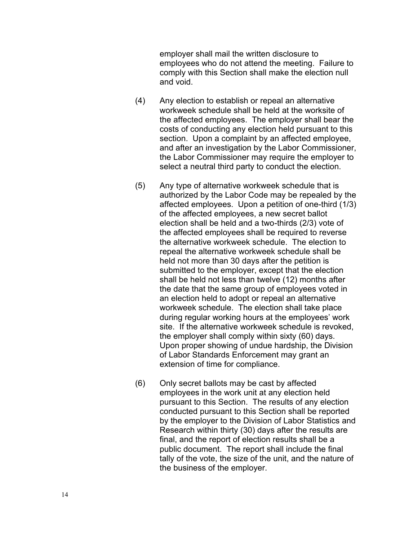employer shall mail the written disclosure to employees who do not attend the meeting. Failure to comply with this Section shall make the election null and void.

- (4) Any election to establish or repeal an alternative workweek schedule shall be held at the worksite of the affected employees. The employer shall bear the costs of conducting any election held pursuant to this section. Upon a complaint by an affected employee, and after an investigation by the Labor Commissioner, the Labor Commissioner may require the employer to select a neutral third party to conduct the election.
- (5) Any type of alternative workweek schedule that is authorized by the Labor Code may be repealed by the affected employees. Upon a petition of one-third (1/3) of the affected employees, a new secret ballot election shall be held and a two-thirds (2/3) vote of the affected employees shall be required to reverse the alternative workweek schedule. The election to repeal the alternative workweek schedule shall be held not more than 30 days after the petition is submitted to the employer, except that the election shall be held not less than twelve (12) months after the date that the same group of employees voted in an election held to adopt or repeal an alternative workweek schedule. The election shall take place during regular working hours at the employees' work site. If the alternative workweek schedule is revoked, the employer shall comply within sixty (60) days. Upon proper showing of undue hardship, the Division of Labor Standards Enforcement may grant an extension of time for compliance.
- (6) Only secret ballots may be cast by affected employees in the work unit at any election held pursuant to this Section. The results of any election conducted pursuant to this Section shall be reported by the employer to the Division of Labor Statistics and Research within thirty (30) days after the results are final, and the report of election results shall be a public document. The report shall include the final tally of the vote, the size of the unit, and the nature of the business of the employer.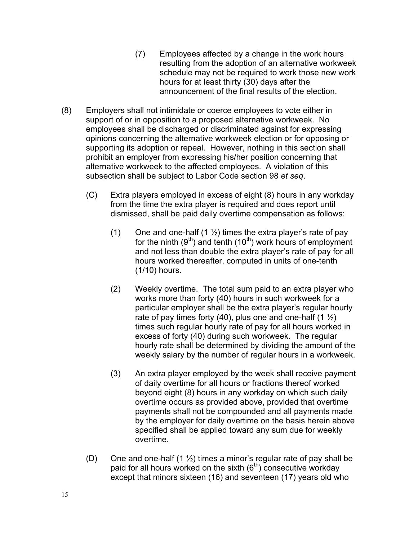- (7) Employees affected by a change in the work hours resulting from the adoption of an alternative workweek schedule may not be required to work those new work hours for at least thirty (30) days after the announcement of the final results of the election.
- (8) Employers shall not intimidate or coerce employees to vote either in support of or in opposition to a proposed alternative workweek. No employees shall be discharged or discriminated against for expressing opinions concerning the alternative workweek election or for opposing or supporting its adoption or repeal. However, nothing in this section shall prohibit an employer from expressing his/her position concerning that alternative workweek to the affected employees. A violation of this subsection shall be subject to Labor Code section 98 *et seq*.
	- (C) Extra players employed in excess of eight (8) hours in any workday from the time the extra player is required and does report until dismissed, shall be paid daily overtime compensation as follows:
		- (1) One and one-half (1  $\frac{1}{2}$ ) times the extra player's rate of pay for the ninth  $(9<sup>th</sup>)$  and tenth  $(10<sup>th</sup>)$  work hours of employment and not less than double the extra player's rate of pay for all hours worked thereafter, computed in units of one-tenth (1/10) hours.
		- (2) Weekly overtime. The total sum paid to an extra player who works more than forty (40) hours in such workweek for a particular employer shall be the extra player's regular hourly rate of pay times forty (40), plus one and one-half (1  $\frac{1}{2}$ ) times such regular hourly rate of pay for all hours worked in excess of forty (40) during such workweek. The regular hourly rate shall be determined by dividing the amount of the weekly salary by the number of regular hours in a workweek.
		- (3) An extra player employed by the week shall receive payment of daily overtime for all hours or fractions thereof worked beyond eight (8) hours in any workday on which such daily overtime occurs as provided above, provided that overtime payments shall not be compounded and all payments made by the employer for daily overtime on the basis herein above specified shall be applied toward any sum due for weekly overtime.
	- (D) One and one-half  $(1 \frac{1}{2})$  times a minor's regular rate of pay shall be paid for all hours worked on the sixth  $(6<sup>th</sup>)$  consecutive workday except that minors sixteen (16) and seventeen (17) years old who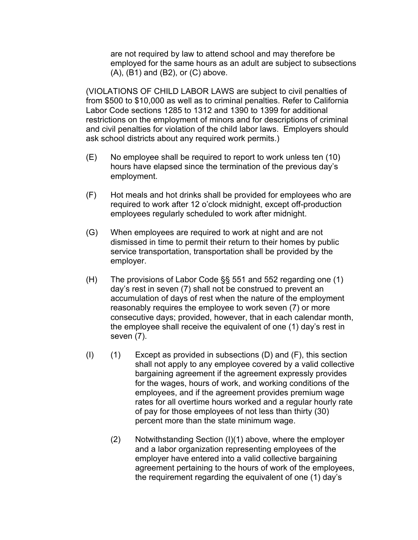are not required by law to attend school and may therefore be employed for the same hours as an adult are subject to subsections (A), (B1) and (B2), or (C) above.

(VIOLATIONS OF CHILD LABOR LAWS are subject to civil penalties of from \$500 to \$10,000 as well as to criminal penalties. Refer to California Labor Code sections 1285 to 1312 and 1390 to 1399 for additional restrictions on the employment of minors and for descriptions of criminal and civil penalties for violation of the child labor laws. Employers should ask school districts about any required work permits.)

- (E) No employee shall be required to report to work unless ten (10) hours have elapsed since the termination of the previous day's employment.
- (F) Hot meals and hot drinks shall be provided for employees who are required to work after 12 o'clock midnight, except off-production employees regularly scheduled to work after midnight.
- (G) When employees are required to work at night and are not dismissed in time to permit their return to their homes by public service transportation, transportation shall be provided by the employer.
- (H) The provisions of Labor Code  $\S$ § 551 and 552 regarding one (1) day's rest in seven (7) shall not be construed to prevent an accumulation of days of rest when the nature of the employment reasonably requires the employee to work seven (7) or more consecutive days; provided, however, that in each calendar month, the employee shall receive the equivalent of one (1) day's rest in seven (7).
- $(1)$   $(1)$  Except as provided in subsections  $(D)$  and  $(F)$ , this section shall not apply to any employee covered by a valid collective bargaining agreement if the agreement expressly provides for the wages, hours of work, and working conditions of the employees, and if the agreement provides premium wage rates for all overtime hours worked and a regular hourly rate of pay for those employees of not less than thirty (30) percent more than the state minimum wage.
	- (2) Notwithstanding Section (I)(1) above, where the employer and a labor organization representing employees of the employer have entered into a valid collective bargaining agreement pertaining to the hours of work of the employees, the requirement regarding the equivalent of one (1) day's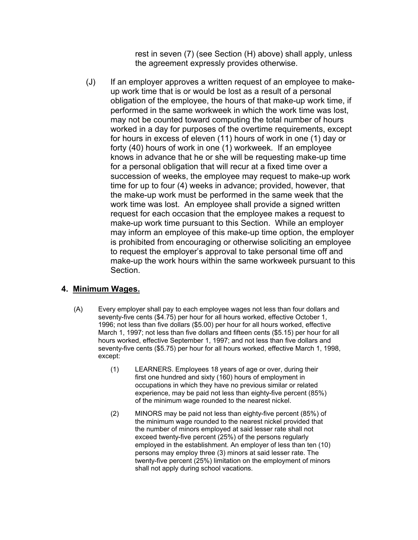rest in seven (7) (see Section (H) above) shall apply, unless the agreement expressly provides otherwise.

(J) If an employer approves a written request of an employee to makeup work time that is or would be lost as a result of a personal obligation of the employee, the hours of that make-up work time, if performed in the same workweek in which the work time was lost, may not be counted toward computing the total number of hours worked in a day for purposes of the overtime requirements, except for hours in excess of eleven (11) hours of work in one (1) day or forty (40) hours of work in one (1) workweek. If an employee knows in advance that he or she will be requesting make-up time for a personal obligation that will recur at a fixed time over a succession of weeks, the employee may request to make-up work time for up to four (4) weeks in advance; provided, however, that the make-up work must be performed in the same week that the work time was lost. An employee shall provide a signed written request for each occasion that the employee makes a request to make-up work time pursuant to this Section. While an employer may inform an employee of this make-up time option, the employer is prohibited from encouraging or otherwise soliciting an employee to request the employer's approval to take personal time off and make-up the work hours within the same workweek pursuant to this Section.

# **4. Minimum Wages.**

- (A) Every employer shall pay to each employee wages not less than four dollars and seventy-five cents (\$4.75) per hour for all hours worked, effective October 1, 1996; not less than five dollars (\$5.00) per hour for all hours worked, effective March 1, 1997; not less than five dollars and fifteen cents (\$5.15) per hour for all hours worked, effective September 1, 1997; and not less than five dollars and seventy-five cents (\$5.75) per hour for all hours worked, effective March 1, 1998, except:
	- (1) LEARNERS. Employees 18 years of age or over, during their first one hundred and sixty (160) hours of employment in occupations in which they have no previous similar or related experience, may be paid not less than eighty-five percent (85%) of the minimum wage rounded to the nearest nickel.
	- (2) MINORS may be paid not less than eighty-five percent (85%) of the minimum wage rounded to the nearest nickel provided that the number of minors employed at said lesser rate shall not exceed twenty-five percent (25%) of the persons regularly employed in the establishment. An employer of less than ten (10) persons may employ three (3) minors at said lesser rate. The twenty-five percent (25%) limitation on the employment of minors shall not apply during school vacations.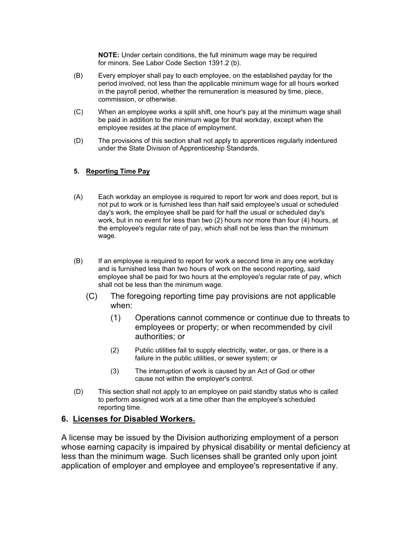**NOTE:** Under certain conditions, the full minimum wage may be required for minors. See Labor Code Section 1391.2 (b).

- (B) Every employer shall pay to each employee, on the established payday for the period involved, not less than the applicable minimum wage for all hours worked in the payroll period, whether the remuneration is measured by time, piece, commission, or otherwise.
- (C) When an employee works a split shift, one hour's pay at the minimum wage shall be paid in addition to the minimum wage for that workday, except when the employee resides at the place of employment.
- (D) The provisions of this section shall not apply to apprentices regularly indentured under the State Division of Apprenticeship Standards.

#### **5. Reporting Time Pay**

- (A) Each workday an employee is required to report for work and does report, but is not put to work or is furnished less than half said employee's usual or scheduled day's work, the employee shall be paid for half the usual or scheduled day's work, but in no event for less than two (2) hours nor more than four (4) hours, at the employee's regular rate of pay, which shall not be less than the minimum wage.
- $(B)$ If an employee is required to report for work a second time in any one workday and is furnished less than two hours of work on the second reporting, said employee shall be paid for two hours at the employee's regular rate of pay, which shall not be less than the minimum wage.
	- (C) The foregoing reporting time pay provisions are not applicable when:
		- (1) Operations cannot commence or continue due to threats to employees or property; or when recommended by civil authorities; or
		- (2) Public utilities fail to supply electricity, water, or gas, or there is a failure in the public utilities, or sewer system; or
		- (3) The interruption of work is caused by an Act of God or other cause not within the employer's control.
- $(D)$ This section shall not apply to an employee on paid standby status who is called to perform assigned work at a time other than the employee's scheduled reporting time.

#### **6. Licenses for Disabled Workers.**

A license may be issued by the Division authorizing employment of a person whose earning capacity is impaired by physical disability or mental deficiency at less than the minimum wage. Such licenses shall be granted only upon joint application of employer and employee and employee's representative if any.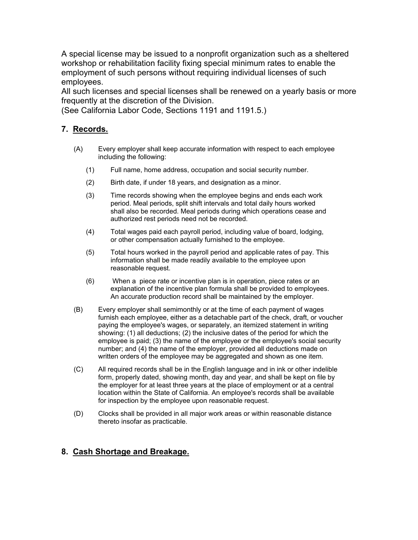emplovees. A special license may be issued to a nonprofit organization such as a sheltered workshop or rehabilitation facility fixing special minimum rates to enable the employment of such persons without requiring individual licenses of such

All such licenses and special licenses shall be renewed on a yearly basis or more frequently at the discretion of the Division.

(See California Labor Code, Sections 1191 and 1191.5.)

# **7. Records.**

- $(A)$ Every employer shall keep accurate information with respect to each employee including the following:
	- $(1)$ Full name, home address, occupation and social security number.
	- $(2)$ Birth date, if under 18 years, and designation as a minor.
	- (3) Time records showing when the employee begins and ends each work period. Meal periods, split shift intervals and total daily hours worked shall also be recorded. Meal periods during which operations cease and authorized rest periods need not be recorded.
	- (4) Total wages paid each payroll period, including value of board, lodging, or other compensation actually furnished to the employee.
	- (5) Total hours worked in the payroll period and applicable rates of pay. This information shall be made readily available to the employee upon reasonable request.
	- (6) When a piece rate or incentive plan is in operation, piece rates or an explanation of the incentive plan formula shall be provided to employees. An accurate production record shall be maintained by the employer.
- $(B)$ Every employer shall semimonthly or at the time of each payment of wages furnish each employee, either as a detachable part of the check, draft, or voucher paying the employee's wages, or separately, an itemized statement in writing showing: (1) all deductions; (2) the inclusive dates of the period for which the employee is paid; (3) the name of the employee or the employee's social security number; and (4) the name of the employer, provided all deductions made on written orders of the employee may be aggregated and shown as one item.
- $(C)$ All required records shall be in the English language and in ink or other indelible form, properly dated, showing month, day and year, and shall be kept on file by the employer for at least three years at the place of employment or at a central location within the State of California. An employee's records shall be available for inspection by the employee upon reasonable request.
- $(D)$ Clocks shall be provided in all major work areas or within reasonable distance thereto insofar as practicable.

# **8. Cash Shortage and Breakage.**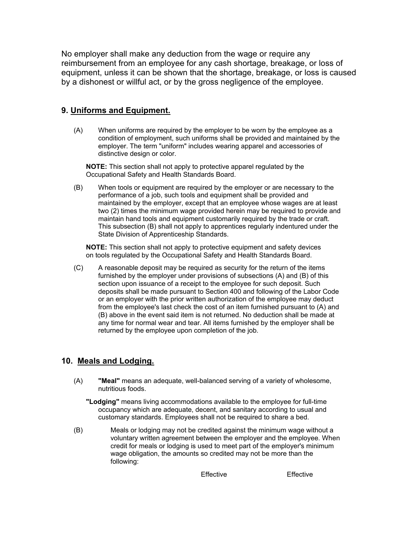No employer shall make any deduction from the wage or require any reimbursement from an employee for any cash shortage, breakage, or loss of equipment, unless it can be shown that the shortage, breakage, or loss is caused by a dishonest or willful act, or by the gross negligence of the employee.

## **9. Uniforms and Equipment.**

 $(A)$ When uniforms are required by the employer to be worn by the employee as a condition of employment, such uniforms shall be provided and maintained by the employer. The term "uniform" includes wearing apparel and accessories of distinctive design or color.

**NOTE:** This section shall not apply to protective apparel regulated by the Occupational Safety and Health Standards Board.

 $(B)$ When tools or equipment are required by the employer or are necessary to the performance of a job, such tools and equipment shall be provided and maintained by the employer, except that an employee whose wages are at least two (2) times the minimum wage provided herein may be required to provide and maintain hand tools and equipment customarily required by the trade or craft. This subsection (B) shall not apply to apprentices regularly indentured under the State Division of Apprenticeship Standards.

**NOTE:** This section shall not apply to protective equipment and safety devices on tools regulated by the Occupational Safety and Health Standards Board.

 $(C)$ A reasonable deposit may be required as security for the return of the items furnished by the employer under provisions of subsections (A) and (B) of this section upon issuance of a receipt to the employee for such deposit. Such deposits shall be made pursuant to Section 400 and following of the Labor Code or an employer with the prior written authorization of the employee may deduct from the employee's last check the cost of an item furnished pursuant to (A) and (B) above in the event said item is not returned. No deduction shall be made at any time for normal wear and tear. All items furnished by the employer shall be returned by the employee upon completion of the job.

## **10. Meals and Lodging.**

- $(A)$ **"Meal"** means an adequate, well-balanced serving of a variety of wholesome, nutritious foods.
	- **"Lodging"** means living accommodations available to the employee for full-time occupancy which are adequate, decent, and sanitary according to usual and customary standards. Employees shall not be required to share a bed.
- $(B)$ Meals or lodging may not be credited against the minimum wage without a voluntary written agreement between the employer and the employee. When credit for meals or lodging is used to meet part of the employer's minimum wage obligation, the amounts so credited may not be more than the following:

Effective Effective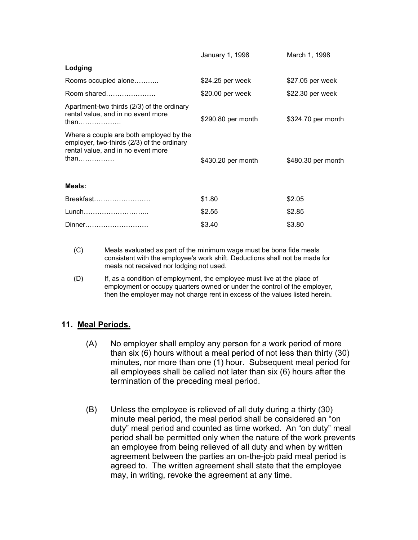|                                                                                                                                     | January 1, 1998    | March 1, 1998      |
|-------------------------------------------------------------------------------------------------------------------------------------|--------------------|--------------------|
| Lodging                                                                                                                             |                    |                    |
| Rooms occupied alone                                                                                                                | \$24.25 per week   | \$27.05 per week   |
| Room shared                                                                                                                         | $$20.00$ per week  | \$22.30 per week   |
| Apartment-two thirds (2/3) of the ordinary<br>rental value, and in no event more<br>than                                            | \$290.80 per month | \$324.70 per month |
| Where a couple are both employed by the<br>employer, two-thirds (2/3) of the ordinary<br>rental value, and in no event more<br>than | \$430.20 per month | \$480.30 per month |
| Meals:                                                                                                                              |                    |                    |
| Breakfast                                                                                                                           | \$1.80             | \$2.05             |
| Lunch                                                                                                                               | \$2.55             | \$2.85             |
| Dinner                                                                                                                              | \$3.40             | \$3.80             |

- (C) Meals evaluated as part of the minimum wage must be bona fide meals consistent with the employee's work shift. Deductions shall not be made for meals not received nor lodging not used.
- (D) If, as a condition of employment, the employee must live at the place of employment or occupy quarters owned or under the control of the employer, then the employer may not charge rent in excess of the values listed herein.

## **11. Meal Periods.**

- (A) No employer shall employ any person for a work period of more than six (6) hours without a meal period of not less than thirty (30) minutes, nor more than one (1) hour. Subsequent meal period for all employees shall be called not later than six (6) hours after the termination of the preceding meal period.
- $(B)$  Unless the employee is relieved of all duty during a thirty (30) minute meal period, the meal period shall be considered an "on duty" meal period and counted as time worked. An "on duty" meal period shall be permitted only when the nature of the work prevents an employee from being relieved of all duty and when by written agreement between the parties an on-the-job paid meal period is agreed to. The written agreement shall state that the employee may, in writing, revoke the agreement at any time.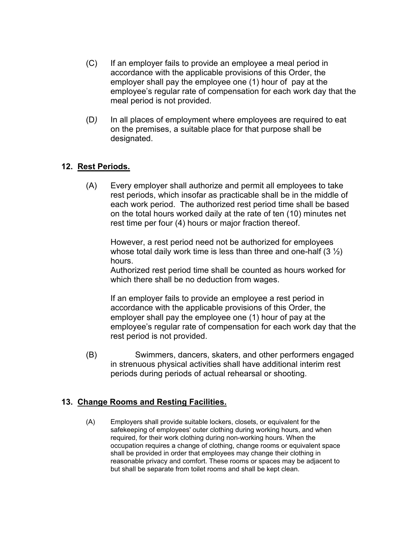- (C) If an employer fails to provide an employee a meal period in accordance with the applicable provisions of this Order, the employer shall pay the employee one (1) hour of pay at the employee's regular rate of compensation for each work day that the meal period is not provided.
- (D*)* In all places of employment where employees are required to eat on the premises, a suitable place for that purpose shall be designated.

## **12. Rest Periods.**

(A) Every employer shall authorize and permit all employees to take rest periods, which insofar as practicable shall be in the middle of each work period. The authorized rest period time shall be based on the total hours worked daily at the rate of ten (10) minutes net rest time per four (4) hours or major fraction thereof.

However, a rest period need not be authorized for employees whose total daily work time is less than three and one-half  $(3 \frac{1}{2})$ hours.

Authorized rest period time shall be counted as hours worked for which there shall be no deduction from wages.

If an employer fails to provide an employee a rest period in accordance with the applicable provisions of this Order, the employer shall pay the employee one (1) hour of pay at the employee's regular rate of compensation for each work day that the rest period is not provided.

(B) Swimmers, dancers, skaters, and other performers engaged in strenuous physical activities shall have additional interim rest periods during periods of actual rehearsal or shooting.

# **13. Change Rooms and Resting Facilities.**

(A) Employers shall provide suitable lockers, closets, or equivalent for the safekeeping of employees' outer clothing during working hours, and when required, for their work clothing during non-working hours. When the occupation requires a change of clothing, change rooms or equivalent space shall be provided in order that employees may change their clothing in reasonable privacy and comfort. These rooms or spaces may be adjacent to but shall be separate from toilet rooms and shall be kept clean.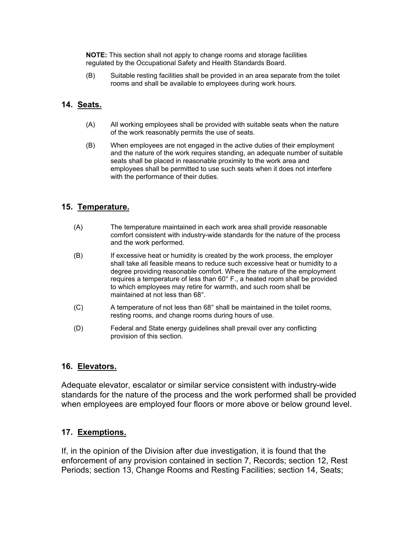**NOTE:** This section shall not apply to change rooms and storage facilities regulated by the Occupational Safety and Health Standards Board.

(B) Suitable resting facilities shall be provided in an area separate from the toilet rooms and shall be available to employees during work hours.

#### **14. Seats.**

- (A) All working employees shall be provided with suitable seats when the nature of the work reasonably permits the use of seats.
- (B) When employees are not engaged in the active duties of their employment and the nature of the work requires standing, an adequate number of suitable seats shall be placed in reasonable proximity to the work area and employees shall be permitted to use such seats when it does not interfere with the performance of their duties.

#### **15. Temperature.**

- $(A)$ The temperature maintained in each work area shall provide reasonable comfort consistent with industry-wide standards for the nature of the process and the work performed.
- $(B)$ If excessive heat or humidity is created by the work process, the employer shall take all feasible means to reduce such excessive heat or humidity to a degree providing reasonable comfort. Where the nature of the employment requires a temperature of less than 60° F., a heated room shall be provided to which employees may retire for warmth, and such room shall be maintained at not less than 68°.
- $(C)$ A temperature of not less than  $68^\circ$  shall be maintained in the toilet rooms, resting rooms, and change rooms during hours of use.
- $(D)$ Federal and State energy guidelines shall prevail over any conflicting provision of this section.

#### **16. Elevators.**

Adequate elevator, escalator or similar service consistent with industry-wide standards for the nature of the process and the work performed shall be provided when employees are employed four floors or more above or below ground level.

#### **17. Exemptions.**

If, in the opinion of the Division after due investigation, it is found that the enforcement of any provision contained in section 7, Records; section 12, Rest Periods; section 13, Change Rooms and Resting Facilities; section 14, Seats;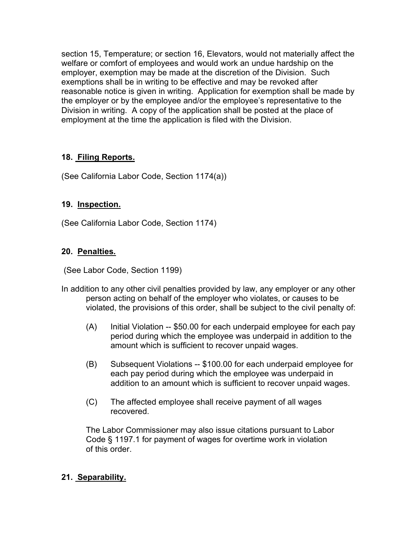section 15, Temperature; or section 16, Elevators, would not materially affect the welfare or comfort of employees and would work an undue hardship on the employer, exemption may be made at the discretion of the Division. Such exemptions shall be in writing to be effective and may be revoked after reasonable notice is given in writing. Application for exemption shall be made by the employer or by the employee and/or the employee's representative to the Division in writing. A copy of the application shall be posted at the place of employment at the time the application is filed with the Division.

# **18. Filing Reports.**

(See California Labor Code, Section 1174(a))

# **19. Inspection.**

(See California Labor Code, Section 1174)

# **20. Penalties***.*

(See Labor Code, Section 1199)

- In addition to any other civil penalties provided by law, any employer or any other person acting on behalf of the employer who violates, or causes to be violated, the provisions of this order, shall be subject to the civil penalty of:
	- (A) Initial Violation -- \$50.00 for each underpaid employee for each pay period during which the employee was underpaid in addition to the amount which is sufficient to recover unpaid wages.
	- (B) Subsequent Violations -- \$100.00 for each underpaid employee for each pay period during which the employee was underpaid in addition to an amount which is sufficient to recover unpaid wages.
	- (C) The affected employee shall receive payment of all wages recovered.

The Labor Commissioner may also issue citations pursuant to Labor Code § 1197.1 for payment of wages for overtime work in violation of this order.

## **21. Separability.**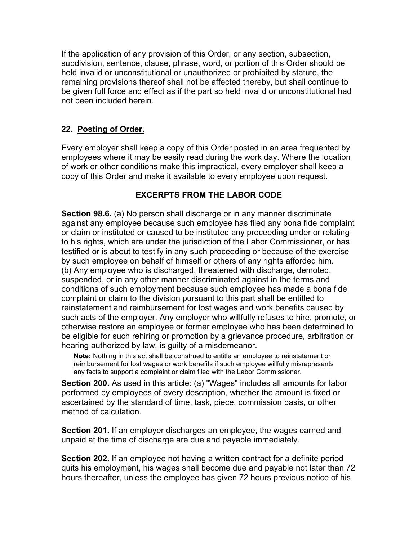If the application of any provision of this Order, or any section, subsection, subdivision, sentence, clause, phrase, word, or portion of this Order should be held invalid or unconstitutional or unauthorized or prohibited by statute, the remaining provisions thereof shall not be affected thereby, but shall continue to be given full force and effect as if the part so held invalid or unconstitutional had not been included herein.

# **22. Posting of Order.**

Every employer shall keep a copy of this Order posted in an area frequented by employees where it may be easily read during the work day. Where the location of work or other conditions make this impractical, every employer shall keep a copy of this Order and make it available to every employee upon request.

# **EXCERPTS FROM THE LABOR CODE**

**Section 98.6.** (a) No person shall discharge or in any manner discriminate against any employee because such employee has filed any bona fide complaint or claim or instituted or caused to be instituted any proceeding under or relating to his rights, which are under the jurisdiction of the Labor Commissioner, or has testified or is about to testify in any such proceeding or because of the exercise by such employee on behalf of himself or others of any rights afforded him. (b) Any employee who is discharged, threatened with discharge, demoted, suspended, or in any other manner discriminated against in the terms and conditions of such employment because such employee has made a bona fide complaint or claim to the division pursuant to this part shall be entitled to reinstatement and reimbursement for lost wages and work benefits caused by such acts of the employer. Any employer who willfully refuses to hire, promote, or otherwise restore an employee or former employee who has been determined to be eligible for such rehiring or promotion by a grievance procedure, arbitration or hearing authorized by law, is guilty of a misdemeanor.

**Note:** Nothing in this act shall be construed to entitle an employee to reinstatement or reimbursement for lost wages or work benefits if such employee willfully misrepresents any facts to support a complaint or claim filed with the Labor Commissioner.

**Section 200.** As used in this article: (a) "Wages" includes all amounts for labor performed by employees of every description, whether the amount is fixed or ascertained by the standard of time, task, piece, commission basis, or other method of calculation.

**Section 201.** If an employer discharges an employee, the wages earned and unpaid at the time of discharge are due and payable immediately.

**Section 202.** If an employee not having a written contract for a definite period quits his employment, his wages shall become due and payable not later than 72 hours thereafter, unless the employee has given 72 hours previous notice of his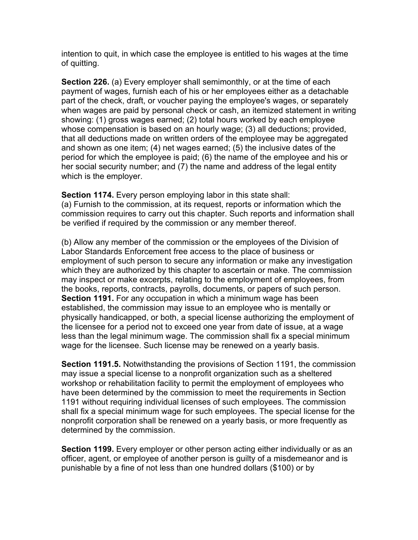intention to quit, in which case the employee is entitled to his wages at the time of quitting.

**Section 226.** (a) Every employer shall semimonthly, or at the time of each payment of wages, furnish each of his or her employees either as a detachable part of the check, draft, or voucher paying the employee's wages, or separately when wages are paid by personal check or cash, an itemized statement in writing showing: (1) gross wages earned; (2) total hours worked by each employee whose compensation is based on an hourly wage; (3) all deductions; provided, that all deductions made on written orders of the employee may be aggregated and shown as one item; (4) net wages earned; (5) the inclusive dates of the period for which the employee is paid; (6) the name of the employee and his or her social security number; and (7) the name and address of the legal entity which is the employer.

**Section 1174.** Every person employing labor in this state shall: (a) Furnish to the commission, at its request, reports or information which the commission requires to carry out this chapter. Such reports and information shall be verified if required by the commission or any member thereof.

(b) Allow any member of the commission or the employees of the Division of Labor Standards Enforcement free access to the place of business or employment of such person to secure any information or make any investigation which they are authorized by this chapter to ascertain or make. The commission may inspect or make excerpts, relating to the employment of employees, from the books, reports, contracts, payrolls, documents, or papers of such person. **Section 1191.** For any occupation in which a minimum wage has been established, the commission may issue to an employee who is mentally or physically handicapped, or both, a special license authorizing the employment of the licensee for a period not to exceed one year from date of issue, at a wage less than the legal minimum wage. The commission shall fix a special minimum wage for the licensee. Such license may be renewed on a yearly basis.

**Section 1191.5.** Notwithstanding the provisions of Section 1191, the commission may issue a special license to a nonprofit organization such as a sheltered workshop or rehabilitation facility to permit the employment of employees who have been determined by the commission to meet the requirements in Section 1191 without requiring individual licenses of such employees. The commission shall fix a special minimum wage for such employees. The special license for the nonprofit corporation shall be renewed on a yearly basis, or more frequently as determined by the commission.

**Section 1199.** Every employer or other person acting either individually or as an officer, agent, or employee of another person is guilty of a misdemeanor and is punishable by a fine of not less than one hundred dollars (\$100) or by